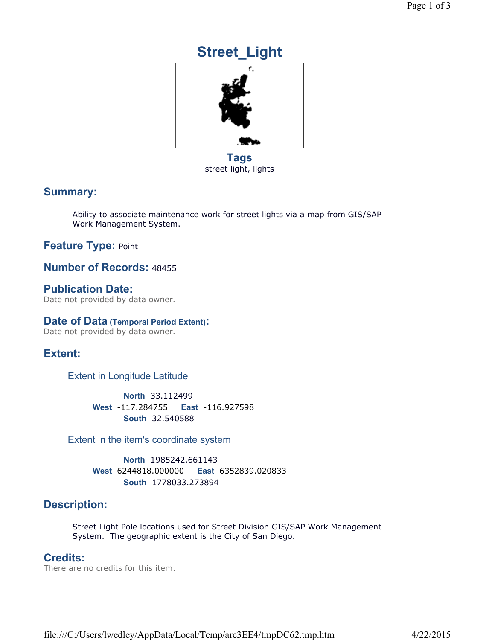# **Street\_Light Tags** street light, lights

# **Summary:**

Ability to associate maintenance work for street lights via a map from GIS/SAP Work Management System.

# **Feature Type:** Point

#### **Number of Records:** 48455

**Publication Date:**  Date not provided by data owner.

#### **Date of Data (Temporal Period Extent):**

Date not provided by data owner.

## **Extent:**

Extent in Longitude Latitude

**North** 33.112499 **South** 32.540588 **West** -117.284755 **East** -116.927598

Extent in the item's coordinate system

**North** 1985242.661143 **South** 1778033.273894 **West** 6244818.000000 **East** 6352839.020833

# **Description:**

Street Light Pole locations used for Street Division GIS/SAP Work Management System. The geographic extent is the City of San Diego.

#### **Credits:**

There are no credits for this item.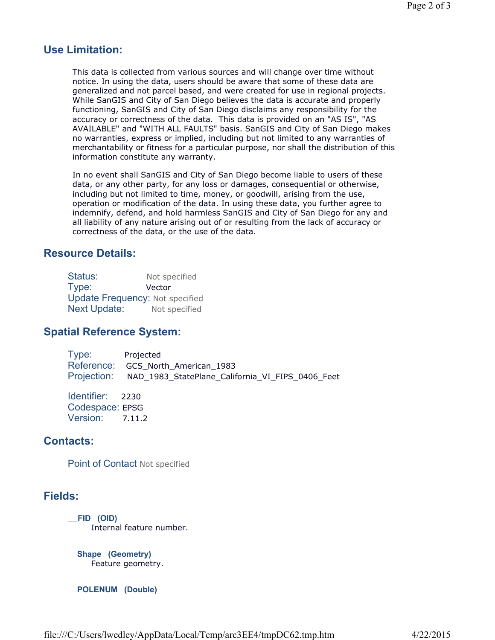# **Use Limitation:**

This data is collected from various sources and will change over time without notice. In using the data, users should be aware that some of these data are generalized and not parcel based, and were created for use in regional projects. While SanGIS and City of San Diego believes the data is accurate and properly functioning, SanGIS and City of San Diego disclaims any responsibility for the accuracy or correctness of the data. This data is provided on an "AS IS", "AS AVAILABLE" and "WITH ALL FAULTS" basis. SanGIS and City of San Diego makes no warranties, express or implied, including but not limited to any warranties of merchantability or fitness for a particular purpose, nor shall the distribution of this information constitute any warranty.

In no event shall SanGIS and City of San Diego become liable to users of these data, or any other party, for any loss or damages, consequential or otherwise, including but not limited to time, money, or goodwill, arising from the use, operation or modification of the data. In using these data, you further agree to indemnify, defend, and hold harmless SanGIS and City of San Diego for any and all liability of any nature arising out of or resulting from the lack of accuracy or correctness of the data, or the use of the data.

## **Resource Details:**

| Status:             | Not specified                          |
|---------------------|----------------------------------------|
| Type:               | Vector                                 |
|                     | <b>Update Frequency: Not specified</b> |
| <b>Next Update:</b> | Not specified                          |

## **Spatial Reference System:**

Type: Projected Reference: GCS\_North\_American\_1983 Projection: NAD\_1983\_StatePlane\_California\_VI\_FIPS\_0406\_Feet

Identifier: 2230 Codespace: EPSG Version: 7.11.2

# **Contacts:**

Point of Contact Not specified

## **Fields:**

\_\_**FID (OID)**  Internal feature number.

**Shape (Geometry)**  Feature geometry.

**POLENUM (Double)**